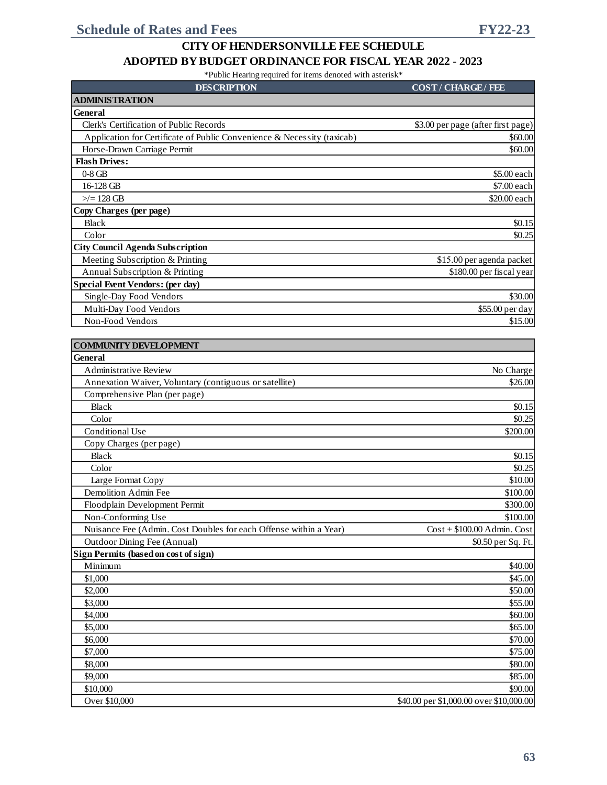| <b>DESCRIPTION</b>                                                      | <b>COST/CHARGE/FEE</b>                  |
|-------------------------------------------------------------------------|-----------------------------------------|
| <b>ADMINISTRATION</b>                                                   |                                         |
| General                                                                 |                                         |
| Clerk's Certification of Public Records                                 | \$3.00 per page (after first page)      |
| Application for Certificate of Public Convenience & Necessity (taxicab) | \$60.00                                 |
| Horse-Drawn Carriage Permit                                             | \$60.00                                 |
| <b>Flash Drives:</b>                                                    |                                         |
| $0-8$ GB                                                                | \$5.00 each                             |
| 16-128 GB                                                               | \$7.00 each                             |
| $\ge$ /= 128 GB                                                         | \$20.00 each                            |
| Copy Charges (per page)                                                 |                                         |
| <b>Black</b>                                                            | \$0.15                                  |
| Color                                                                   | \$0.25                                  |
| <b>City Council Agenda Subscription</b>                                 |                                         |
| Meeting Subscription & Printing                                         | \$15.00 per agenda packet               |
| Annual Subscription & Printing                                          | \$180.00 per fiscal year                |
| <b>Special Event Vendors: (per day)</b>                                 |                                         |
| Single-Day Food Vendors                                                 | \$30.00                                 |
| Multi-Day Food Vendors                                                  | \$55.00 per day                         |
| Non-Food Vendors                                                        | \$15.00                                 |
|                                                                         |                                         |
| <b>COMMUNITY DEVELOPMENT</b>                                            |                                         |
| General                                                                 |                                         |
| Administrative Review                                                   | No Charge                               |
|                                                                         |                                         |
| Annexation Waiver, Voluntary (contiguous or satellite)                  | \$26.00                                 |
| Comprehensive Plan (per page)                                           |                                         |
| <b>Black</b><br>Color                                                   | \$0.15                                  |
|                                                                         | \$0.25                                  |
| Conditional Use                                                         | \$200.00                                |
| Copy Charges (per page)                                                 |                                         |
| <b>Black</b>                                                            | \$0.15                                  |
| Color                                                                   | \$0.25                                  |
| Large Format Copy                                                       | \$10.00                                 |
| Demolition Admin Fee                                                    | \$100.00                                |
| Floodplain Development Permit                                           | \$300.00                                |
| Non-Conforming Use                                                      | \$100.00                                |
| Nuisance Fee (Admin. Cost Doubles for each Offense within a Year)       | $Cost + $100.00$ Admin. Cost            |
| Outdoor Dining Fee (Annual)                                             | \$0.50 per Sq. Ft.                      |
| Sign Permits (based on cost of sign)                                    |                                         |
| Minimum                                                                 | \$40.00                                 |
| \$1,000                                                                 | \$45.00                                 |
| \$2,000                                                                 | \$50.00                                 |
| \$3,000                                                                 | \$55.00                                 |
| \$4,000                                                                 | \$60.00                                 |
| \$5,000                                                                 | \$65.00                                 |
| \$6,000                                                                 | \$70.00                                 |
| \$7,000                                                                 | \$75.00                                 |
| \$8,000                                                                 | \$80.00                                 |
| \$9,000                                                                 | \$85.00                                 |
| \$10,000                                                                | \$90.00                                 |
| Over \$10,000                                                           | \$40.00 per \$1,000.00 over \$10,000.00 |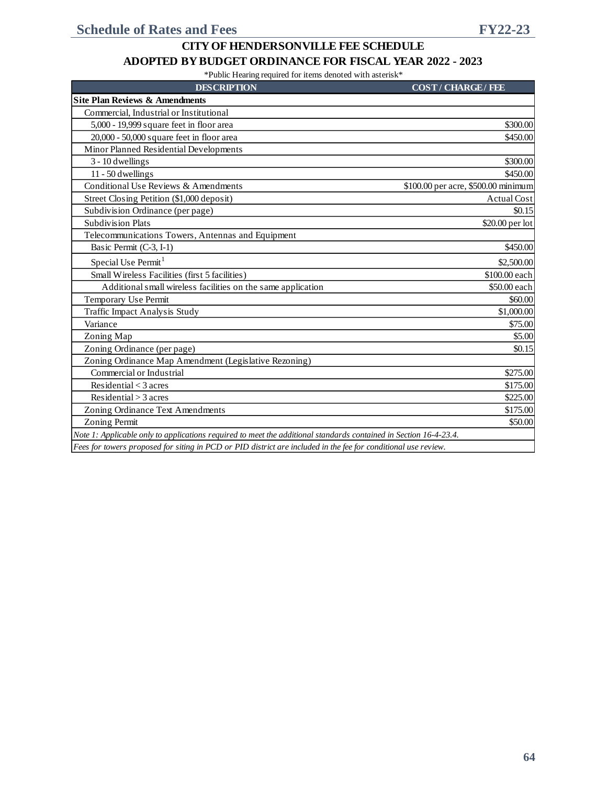#### **ADOPTED BY BUDGET ORDINANCE FOR FISCAL YEAR 2022 - 2023**

| <b>DESCRIPTION</b>                                                                                                | <b>COST/CHARGE/FEE</b>              |
|-------------------------------------------------------------------------------------------------------------------|-------------------------------------|
| <b>Site Plan Reviews &amp; Amendments</b>                                                                         |                                     |
| Commercial. Industrial or Institutional                                                                           |                                     |
| 5,000 - 19,999 square feet in floor area                                                                          | \$300.00                            |
| 20,000 - 50,000 square feet in floor area                                                                         | \$450.00                            |
| Minor Planned Residential Developments                                                                            |                                     |
| 3 - 10 dwellings                                                                                                  | \$300.00                            |
| $11 - 50$ dwellings                                                                                               | \$450.00                            |
| Conditional Use Reviews & Amendments                                                                              | \$100.00 per acre, \$500.00 minimum |
| Street Closing Petition (\$1,000 deposit)                                                                         | <b>Actual Cost</b>                  |
| Subdivision Ordinance (per page)                                                                                  | \$0.15                              |
| <b>Subdivision Plats</b>                                                                                          | $$20.00$ per lot                    |
| Telecommunications Towers, Antennas and Equipment                                                                 |                                     |
| Basic Permit (C-3, I-1)                                                                                           | \$450.00                            |
| Special Use Permit <sup>1</sup>                                                                                   | \$2,500.00                          |
| Small Wireless Facilities (first 5 facilities)                                                                    | \$100.00 each                       |
| Additional small wireless facilities on the same application                                                      | \$50.00 each                        |
| Temporary Use Permit                                                                                              | \$60.00                             |
| Traffic Impact Analysis Study                                                                                     | \$1,000.00                          |
| Variance                                                                                                          | \$75.00                             |
| Zoning Map                                                                                                        | \$5.00                              |
| Zoning Ordinance (per page)                                                                                       | \$0.15                              |
| Zoning Ordinance Map Amendment (Legislative Rezoning)                                                             |                                     |
| Commercial or Industrial                                                                                          | \$275.00                            |
| Residential $<$ 3 acres                                                                                           | \$175.00                            |
| Residental > 3 acres                                                                                              | \$225.00                            |
| Zoning Ordinance Text Amendments                                                                                  | \$175.00                            |
| Zoning Permit                                                                                                     | \$50.00                             |
| Note 1: Applicable only to applications required to meet the additional standards contained in Section 16-4-23.4. |                                     |
| Fees for towers proposed for siting in PCD or PID district are included in the fee for conditional use review.    |                                     |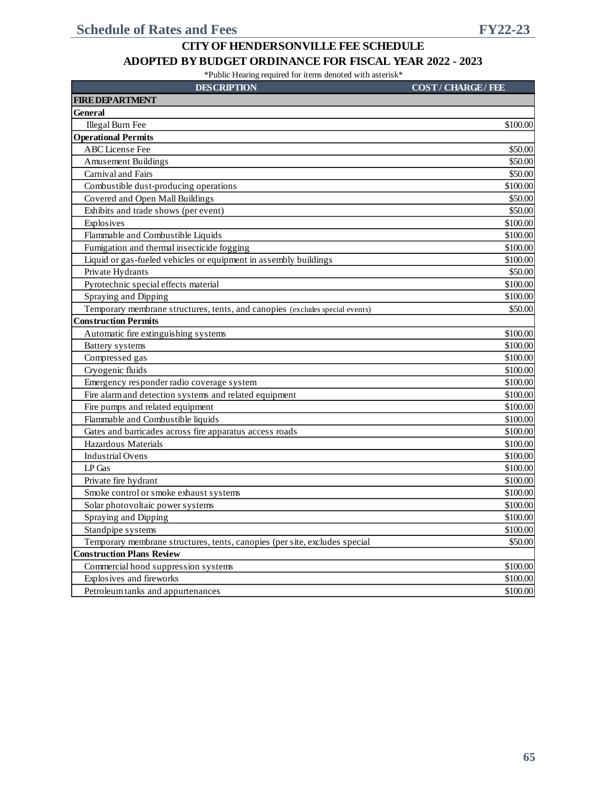| <b>DESCRIPTION</b>                                                           | <b>COST/CHARGE/FEE</b> |
|------------------------------------------------------------------------------|------------------------|
| <b>FIRE DEPARTMENT</b>                                                       |                        |
| <b>General</b>                                                               |                        |
| Illegal Burn Fee                                                             | \$100.00               |
| <b>Operational Permits</b>                                                   |                        |
| ABC License Fee                                                              | \$50.00                |
| <b>Amusement Buildings</b>                                                   | \$50.00                |
| Carnival and Fairs                                                           | \$50.00                |
| Combustible dust-producing operations                                        | \$100.00               |
| Covered and Open Mall Buildings                                              | \$50.00                |
| Exhibits and trade shows (per event)                                         | \$50.00                |
| Explosives                                                                   | \$100.00               |
| Flammable and Combustible Liquids                                            | \$100.00               |
| Fumigation and thermal insecticide fogging                                   | \$100.00               |
| Liquid or gas-fueled vehicles or equipment in assembly buildings             | \$100.00               |
| Private Hydrants                                                             | \$50.00                |
| Pyrotechnic special effects material                                         | \$100.00               |
| Spraying and Dipping                                                         | \$100.00               |
| Temporary membrane structures, tents, and canopies (excludes special events) | \$50.00                |
| <b>Construction Permits</b>                                                  |                        |
| Automatic fire extinguishing systems                                         | \$100.00               |
| <b>Battery</b> systems                                                       | \$100.00               |
| Compressed gas                                                               | \$100.00               |
| Cryogenic fluids                                                             | \$100.00               |
| Emergency responder radio coverage system                                    | \$100.00               |
| Fire alarm and detection systems and related equipment                       | \$100.00               |
| Fire pumps and related equipment                                             | \$100.00               |
| Flammable and Combustible liquids                                            | \$100.00               |
| Gates and barricades across fire apparatus access roads                      | \$100.00               |
| Hazardous Materials                                                          | \$100.00               |
| <b>Industrial Ovens</b>                                                      | \$100.00               |
| LP Gas                                                                       | \$100.00               |
| Private fire hydrant                                                         | \$100.00               |
| Smoke control or smoke exhaust systems                                       | \$100.00               |
| Solar photovoltaic power systems                                             | \$100.00               |
| Spraying and Dipping                                                         | \$100.00               |
| Standpipe systems                                                            | \$100.00               |
| Temporary membrane structures, tents, canopies (per site, excludes special   | \$50.00                |
| <b>Construction Plans Review</b>                                             |                        |
| Commercial hood suppression systems                                          | \$100.00               |
| Explosives and fireworks                                                     | \$100.00               |
| Petroleum tanks and appurtenances                                            | \$100.00               |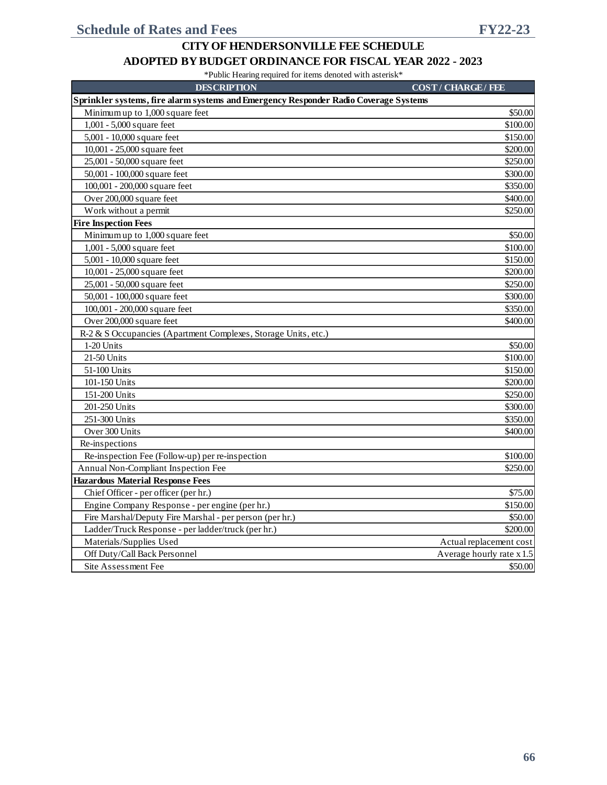#### **ADOPTED BY BUDGET ORDINANCE FOR FISCAL YEAR 2022 - 2023**

| <b>DESCRIPTION</b>                                                                   | <b>COST/CHARGE/FEE</b>    |
|--------------------------------------------------------------------------------------|---------------------------|
| Sprinkler systems, fire alarm systems and Emergency Responder Radio Coverage Systems |                           |
| Minimum up to 1,000 square feet                                                      | \$50.00                   |
| 1,001 - 5,000 square feet                                                            | \$100.00                  |
| 5,001 - 10,000 square feet                                                           | \$150.00                  |
| 10,001 - 25,000 square feet                                                          | \$200.00                  |
| 25,001 - 50,000 square feet                                                          | \$250.00                  |
| 50,001 - 100,000 square feet                                                         | \$300.00                  |
| 100,001 - 200,000 square feet                                                        | \$350.00                  |
| Over 200,000 square feet                                                             | \$400.00                  |
| Work without a permit                                                                | \$250.00                  |
| <b>Fire Inspection Fees</b>                                                          |                           |
| Minimum up to 1,000 square feet                                                      | \$50.00                   |
| 1,001 - 5,000 square feet                                                            | \$100.00                  |
| 5,001 - 10,000 square feet                                                           | \$150.00                  |
| 10,001 - 25,000 square feet                                                          | \$200.00                  |
| 25,001 - 50,000 square feet                                                          | \$250.00                  |
| 50,001 - 100,000 square feet                                                         | \$300.00                  |
| 100,001 - 200,000 square feet                                                        | \$350.00                  |
| Over 200,000 square feet                                                             | \$400.00                  |
| R-2 & S Occupancies (Apartment Complexes, Storage Units, etc.)                       |                           |
| 1-20 Units                                                                           | \$50.00                   |
| 21-50 Units                                                                          | \$100.00                  |
| 51-100 Units                                                                         | \$150.00                  |
| 101-150 Units                                                                        | \$200.00                  |
| 151-200 Units                                                                        | \$250.00                  |
| 201-250 Units                                                                        | \$300.00                  |
| 251-300 Units                                                                        | \$350.00                  |
| Over 300 Units                                                                       | \$400.00                  |
| Re-inspections                                                                       |                           |
| Re-inspection Fee (Follow-up) per re-inspection                                      | \$100.00                  |
| Annual Non-Compliant Inspection Fee                                                  | \$250.00                  |
| <b>Hazardous Material Response Fees</b>                                              |                           |
| Chief Officer - per officer (per hr.)                                                | \$75.00                   |
| Engine Company Response - per engine (per hr.)                                       | \$150.00                  |
| Fire Marshal/Deputy Fire Marshal - per person (per hr.)                              | \$50.00                   |
| Ladder/Truck Response - per ladder/truck (per hr.)                                   | \$200.00                  |
| Materials/Supplies Used                                                              | Actual replacement cost   |
| Off Duty/Call Back Personnel                                                         | Average hourly rate x 1.5 |
| Site Assessment Fee                                                                  | \$50.00                   |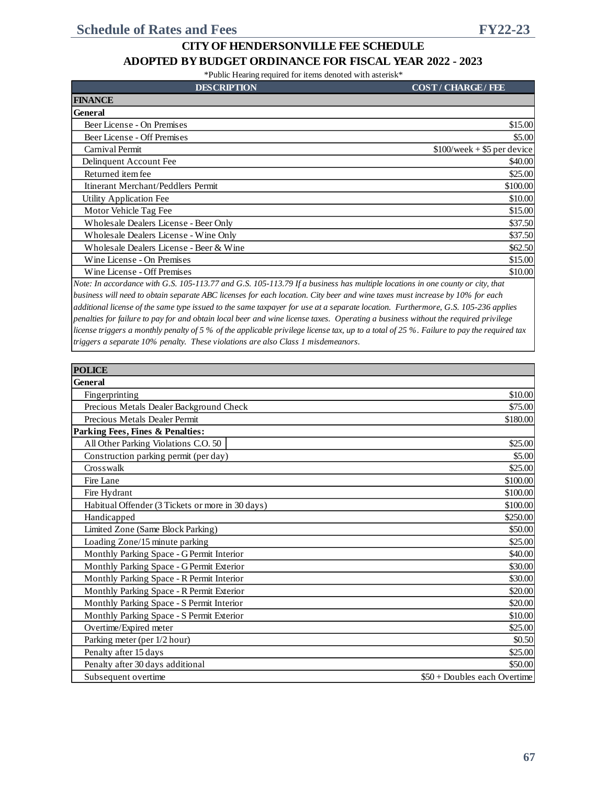\*Public Hearing required for items denoted with asterisk\*

| <b>DESCRIPTION</b>                                                                                                                                 | <b>COST/CHARGE/FEE</b>        |
|----------------------------------------------------------------------------------------------------------------------------------------------------|-------------------------------|
| <b>FINANCE</b>                                                                                                                                     |                               |
| <b>General</b>                                                                                                                                     |                               |
| Beer License - On Premises                                                                                                                         | \$15.00                       |
| Beer License - Off Premises                                                                                                                        | \$5.00                        |
| Carnival Permit                                                                                                                                    | $$100$ /week + \$5 per device |
| Delinquent Account Fee                                                                                                                             | \$40.00                       |
| Returned item fee                                                                                                                                  | \$25.00                       |
| Itinerant Merchant/Peddlers Permit                                                                                                                 | \$100.00                      |
| Utility Application Fee                                                                                                                            | \$10.00                       |
| Motor Vehicle Tag Fee                                                                                                                              | \$15.00                       |
| Wholesale Dealers License - Beer Only                                                                                                              | \$37.50                       |
| Wholesale Dealers License - Wine Only                                                                                                              | \$37.50                       |
| Wholesale Dealers License - Beer & Wine                                                                                                            | \$62.50                       |
| Wine License - On Premises                                                                                                                         | \$15.00                       |
| Wine License - Off Premises                                                                                                                        | \$10.00                       |
| Note In assemblance with $C \subseteq 105, 112, 77$ and $C \subseteq 105, 112, 70$ If a business has multiple locations in one county on oity that |                               |

*Note: In accordance with G.S. 105-113.77 and G.S. 105-113.79 If a business has multiple locations in one county or city, that business will need to obtain separate ABC licenses for each location. City beer and wine taxes must increase by 10% for each additional license of the same type issued to the same taxpayer for use at a separate location. Furthermore, G.S. 105-236 applies penalties for failure to pay for and obtain local beer and wine license taxes. Operating a business without the required privilege license triggers a monthly penalty of 5 % of the applicable privilege license tax, up to a total of 25 %. Failure to pay the required tax triggers a separate 10% penalty. These violations are also Class 1 misdemeanors.*

| <b>POLICE</b>                                    |                               |
|--------------------------------------------------|-------------------------------|
| <b>General</b>                                   |                               |
| Fingerprinting                                   | \$10.00                       |
| Precious Metals Dealer Background Check          | \$75.00                       |
| Precious Metals Dealer Permit                    | \$180.00                      |
| Parking Fees, Fines & Penalties:                 |                               |
| All Other Parking Violations C.O. 50             | \$25.00                       |
| Construction parking permit (per day)            | \$5.00                        |
| Crosswalk                                        | \$25.00                       |
| Fire Lane                                        | \$100.00                      |
| Fire Hydrant                                     | \$100.00                      |
| Habitual Offender (3 Tickets or more in 30 days) | \$100.00                      |
| Handicapped                                      | \$250.00                      |
| Limited Zone (Same Block Parking)                | \$50.00                       |
| Loading Zone/15 minute parking                   | \$25.00                       |
| Monthly Parking Space - G Permit Interior        | \$40.00                       |
| Monthly Parking Space - G Permit Exterior        | \$30.00                       |
| Monthly Parking Space - R Permit Interior        | \$30.00                       |
| Monthly Parking Space - R Permit Exterior        | \$20.00                       |
| Monthly Parking Space - S Permit Interior        | \$20.00                       |
| Monthly Parking Space - S Permit Exterior        | \$10.00                       |
| Overtime/Expired meter                           | \$25.00                       |
| Parking meter (per 1/2 hour)                     | \$0.50                        |
| Penalty after 15 days                            | \$25.00                       |
| Penalty after 30 days additional                 | \$50.00                       |
| Subsequent overtime                              | $$50 + Doubles$ each Overtime |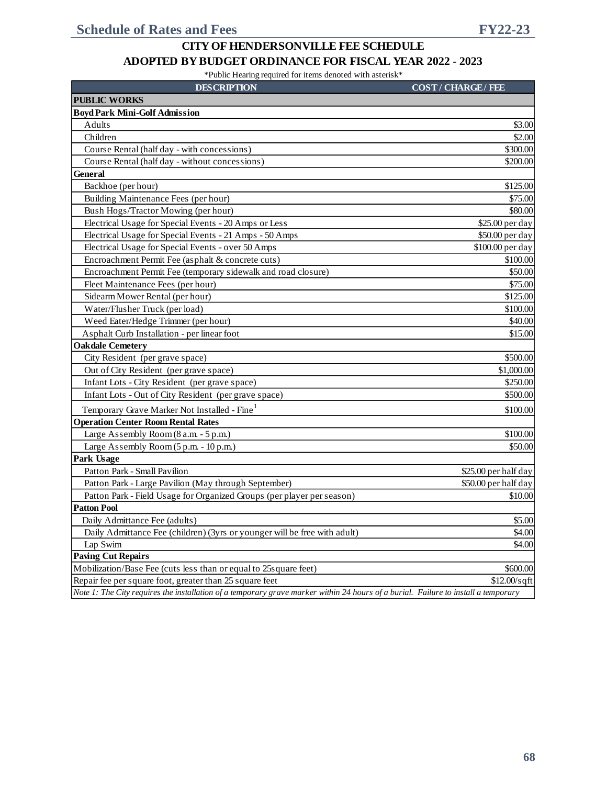### **ADOPTED BY BUDGET ORDINANCE FOR FISCAL YEAR 2022 - 2023**

| <b>DESCRIPTION</b>                                                                                                                 | <b>COST/CHARGE/FEE</b> |
|------------------------------------------------------------------------------------------------------------------------------------|------------------------|
| <b>PUBLIC WORKS</b>                                                                                                                |                        |
| <b>Boyd Park Mini-Golf Admission</b>                                                                                               |                        |
| Adults                                                                                                                             | \$3.00                 |
| Children                                                                                                                           | \$2.00                 |
| Course Rental (half day - with concessions)                                                                                        | \$300.00               |
| Course Rental (half day - without concessions)                                                                                     | \$200.00               |
| <b>General</b>                                                                                                                     |                        |
| Backhoe (per hour)                                                                                                                 | \$125.00               |
| Building Maintenance Fees (per hour)                                                                                               | \$75.00                |
| Bush Hogs/Tractor Mowing (per hour)                                                                                                | \$80.00                |
| Electrical Usage for Special Events - 20 Amps or Less                                                                              | \$25.00 per day        |
| Electrical Usage for Special Events - 21 Amps - 50 Amps                                                                            | \$50.00 per day        |
| Electrical Usage for Special Events - over 50 Amps                                                                                 | \$100.00 per day       |
| Encroachment Permit Fee (asphalt & concrete cuts)                                                                                  | \$100.00               |
| Encroachment Permit Fee (temporary sidewalk and road closure)                                                                      | \$50.00                |
| Fleet Maintenance Fees (per hour)                                                                                                  | \$75.00                |
| Sidearm Mower Rental (per hour)                                                                                                    | \$125.00               |
| Water/Flusher Truck (per load)                                                                                                     | \$100.00               |
| Weed Eater/Hedge Trimmer (per hour)                                                                                                | \$40.00                |
| Asphalt Curb Installation - per linear foot                                                                                        | \$15.00                |
| <b>Oakdale Cemetery</b>                                                                                                            |                        |
| City Resident (per grave space)                                                                                                    | \$500.00               |
| Out of City Resident (per grave space)                                                                                             | \$1,000.00             |
| Infant Lots - City Resident (per grave space)                                                                                      | \$250.00               |
| Infant Lots - Out of City Resident (per grave space)                                                                               | \$500.00               |
| Temporary Grave Marker Not Installed - Fine                                                                                        | \$100.00               |
| <b>Operation Center Room Rental Rates</b>                                                                                          |                        |
| Large Assembly Room (8 a.m. - 5 p.m.)                                                                                              | \$100.00               |
| Large Assembly Room (5 p.m. - 10 p.m.)                                                                                             | \$50.00                |
| Park Usage                                                                                                                         |                        |
| Patton Park - Small Pavilion                                                                                                       | \$25.00 per half day   |
| Patton Park - Large Pavilion (May through September)                                                                               | \$50.00 per half day   |
| Patton Park - Field Usage for Organized Groups (per player per season)                                                             | \$10.00                |
| <b>Patton Pool</b>                                                                                                                 |                        |
| Daily Admittance Fee (adults)                                                                                                      | \$5.00                 |
| Daily Admittance Fee (children) (3yrs or younger will be free with adult)                                                          | \$4.00                 |
| Lap Swim                                                                                                                           | \$4.00                 |
| <b>Paving Cut Repairs</b>                                                                                                          |                        |
| Mobilization/Base Fee (cuts less than or equal to 25 square feet)                                                                  | \$600.00               |
| Repair fee per square foot, greater than 25 square feet                                                                            | $$12.00/s$ qft         |
| Note 1: The City requires the installation of a temporary grave marker within 24 hours of a burial. Failure to install a temporary |                        |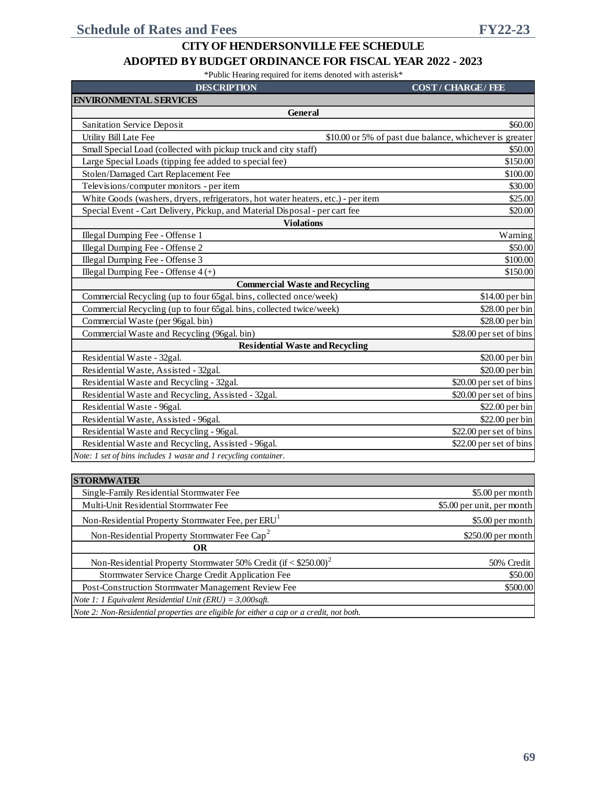| <b>DESCRIPTION</b>                                                               | <b>COST/CHARGE/FEE</b>                                  |
|----------------------------------------------------------------------------------|---------------------------------------------------------|
| <b>ENVIRONMENTAL SERVICES</b>                                                    |                                                         |
| <b>General</b>                                                                   |                                                         |
| Sanitation Service Deposit                                                       | \$60.00                                                 |
| Utility Bill Late Fee                                                            | \$10.00 or 5% of past due balance, whichever is greater |
| Small Special Load (collected with pickup truck and city staff)                  | \$50.00                                                 |
| Large Special Loads (tipping fee added to special fee)                           | \$150.00                                                |
| Stolen/Damaged Cart Replacement Fee                                              | \$100.00                                                |
| Televisions/computer monitors - per item                                         | \$30.00                                                 |
| White Goods (washers, dryers, refrigerators, hot water heaters, etc.) - per item | \$25.00                                                 |
| Special Event - Cart Delivery, Pickup, and Material Disposal - per cart fee      | \$20.00                                                 |
| <b>Violations</b>                                                                |                                                         |
| Illegal Dumping Fee - Offense 1                                                  | Warning                                                 |
| Illegal Dumping Fee - Offense 2                                                  | \$50.00                                                 |
| Illegal Dumping Fee - Offense 3                                                  | \$100.00                                                |
| Illegal Dumping Fee - Offense $4 (+)$                                            | \$150.00                                                |
| <b>Commercial Waste and Recycling</b>                                            |                                                         |
| Commercial Recycling (up to four 65gal. bins, collected once/week)               | \$14.00 per bin                                         |
| Commercial Recycling (up to four 65gal. bins, collected twice/week)              | \$28.00 per bin                                         |
| Commercial Waste (per 96gal. bin)                                                | \$28.00 per bin                                         |
| Commercial Waste and Recycling (96gal. bin)                                      | \$28.00 per set of bins                                 |
| <b>Residential Waste and Recycling</b>                                           |                                                         |
| Residential Waste - 32gal.                                                       | \$20.00 per bin                                         |
| Residential Waste, Assisted - 32gal.                                             | \$20.00 per bin                                         |
| Residential Waste and Recycling - 32gal.                                         | \$20.00 per set of bins                                 |
| Residential Waste and Recycling, Assisted - 32gal.                               | \$20.00 per set of bins                                 |
| Residential Waste - 96gal.                                                       | \$22.00 per bin                                         |
| Residential Waste, Assisted - 96gal.                                             | \$22.00 per bin                                         |
| Residential Waste and Recycling - 96gal.                                         | \$22.00 per set of bins                                 |
| Residential Waste and Recycling, Assisted - 96gal.                               | \$22.00 per set of bins                                 |
| Note: 1 set of bins includes 1 waste and 1 recycling container.                  |                                                         |
|                                                                                  |                                                         |
| <b>STORMWATER</b>                                                                |                                                         |

| Single-Family Residential Stormwater Fee                                                | \$5.00 per month           |
|-----------------------------------------------------------------------------------------|----------------------------|
| Multi-Unit Residential Stormwater Fee                                                   | \$5.00 per unit, per month |
| Non-Residential Property Stormwater Fee, per ERU <sup>1</sup>                           | \$5.00 per month           |
| Non-Residential Property Stormwater Fee Cap <sup>2</sup>                                | \$250.00 per month         |
| OR                                                                                      |                            |
| Non-Residential Property Stormwater 50% Credit $(i f < $250.00)^2$                      | 50% Credit                 |
| Stormwater Service Charge Credit Application Fee                                        | \$50.00                    |
| Post-Construction Stormwater Management Review Fee                                      | \$500.00                   |
| <i>Note 1: 1 Equivalent Residential Unit (ERU)</i> = $3,000$ sqft.                      |                            |
| Note 2: Non-Residential properties are eligible for either a cap or a credit, not both. |                            |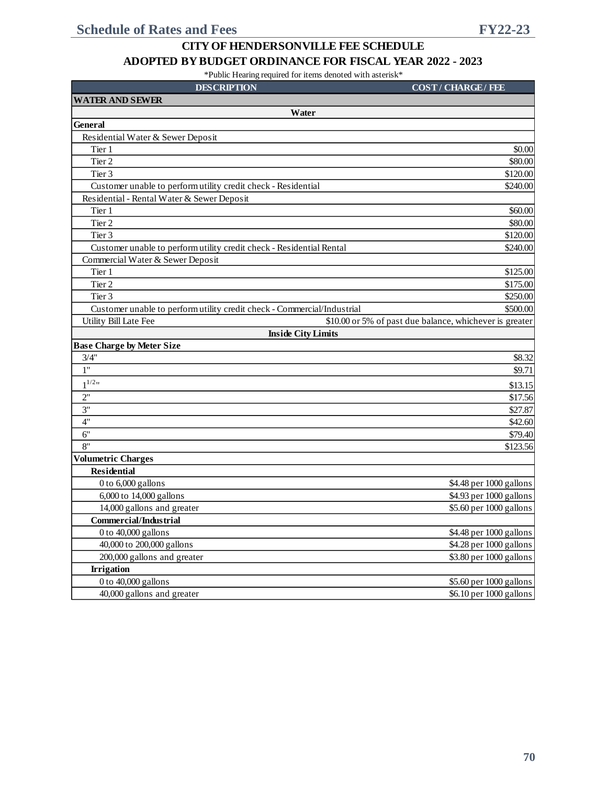| <b>DESCRIPTION</b>                                                      | <b>COST/CHARGE/FEE</b>                                  |
|-------------------------------------------------------------------------|---------------------------------------------------------|
| <b>WATER AND SEWER</b>                                                  |                                                         |
| Water                                                                   |                                                         |
| <b>General</b>                                                          |                                                         |
| Residential Water & Sewer Deposit                                       |                                                         |
| Tier 1                                                                  | \$0.00                                                  |
| Tier 2                                                                  | \$80.00                                                 |
| Tier 3                                                                  | \$120.00                                                |
| Customer unable to perform utility credit check - Residential           | \$240.00                                                |
| Residential - Rental Water & Sewer Deposit                              |                                                         |
| Tier 1                                                                  | \$60.00                                                 |
| Tier 2                                                                  | \$80.00                                                 |
| Tier 3                                                                  | \$120.00                                                |
| Customer unable to perform utility credit check - Residential Rental    | \$240.00                                                |
| Commercial Water & Sewer Deposit                                        |                                                         |
| Tier 1                                                                  | \$125.00                                                |
| Tier 2                                                                  | \$175.00                                                |
| Tier <sub>3</sub>                                                       | \$250.00                                                |
| Customer unable to perform utility credit check - Commercial/Industrial | \$500.00                                                |
| Utility Bill Late Fee                                                   | \$10.00 or 5% of past due balance, whichever is greater |
| <b>Inside City Limits</b>                                               |                                                         |
| <b>Base Charge by Meter Size</b>                                        |                                                         |
| 3/4"                                                                    | \$8.32                                                  |
| 1"                                                                      | \$9.71                                                  |
| $1^{1/2}$ "                                                             | \$13.15                                                 |
| 2"                                                                      | \$17.56                                                 |
| 3"                                                                      | \$27.87                                                 |
| 4"                                                                      | \$42.60                                                 |
| 6"                                                                      | \$79.40                                                 |
| 8"                                                                      | \$123.56                                                |
| <b>Volumetric Charges</b>                                               |                                                         |
| <b>Residential</b>                                                      |                                                         |
| 0 to 6,000 gallons                                                      | \$4.48 per 1000 gallons                                 |
| 6,000 to 14,000 gallons                                                 | \$4.93 per 1000 gallons                                 |
| 14,000 gallons and greater                                              | \$5.60 per 1000 gallons                                 |
| <b>Commercial/Industrial</b>                                            |                                                         |
| 0 to 40,000 gallons                                                     | \$4.48 per 1000 gallons                                 |
| 40,000 to 200,000 gallons                                               | \$4.28 per 1000 gallons                                 |
| 200,000 gallons and greater                                             | \$3.80 per 1000 gallons                                 |
| <b>Irrigation</b>                                                       |                                                         |
| 0 to 40,000 gallons                                                     | \$5.60 per 1000 gallons                                 |
| 40,000 gallons and greater                                              | \$6.10 per 1000 gallons                                 |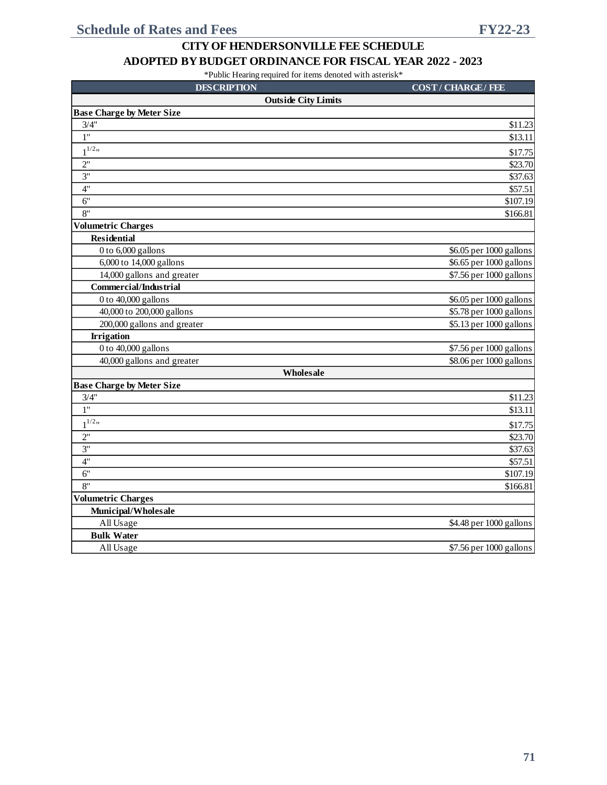#### **ADOPTED BY BUDGET ORDINANCE FOR FISCAL YEAR 2022 - 2023**

| <b>DESCRIPTION</b>               | <b>COST/CHARGE/FEE</b>  |
|----------------------------------|-------------------------|
| <b>Outside City Limits</b>       |                         |
| <b>Base Charge by Meter Size</b> |                         |
| 3/4"                             | \$11.23                 |
| $\overline{1^n}$                 | \$13.11                 |
| $1^{1/2}$                        | \$17.75                 |
| 2"                               | \$23.70                 |
| 3"                               | \$37.63                 |
| 4"                               | \$57.51                 |
| 6"                               | \$107.19                |
| 8"                               | \$166.81                |
| <b>Volumetric Charges</b>        |                         |
| <b>Residential</b>               |                         |
| 0 to 6,000 gallons               | \$6.05 per 1000 gallons |
| 6,000 to 14,000 gallons          | \$6.65 per 1000 gallons |
| 14,000 gallons and greater       | \$7.56 per 1000 gallons |
| <b>Commercial/Industrial</b>     |                         |
| 0 to 40,000 gallons              | \$6.05 per 1000 gallons |
| 40,000 to 200,000 gallons        | \$5.78 per 1000 gallons |
| 200,000 gallons and greater      | \$5.13 per 1000 gallons |
| <b>Irrigation</b>                |                         |
| 0 to 40,000 gallons              | \$7.56 per 1000 gallons |
| 40,000 gallons and greater       | \$8.06 per 1000 gallons |
| Wholesale                        |                         |
| <b>Base Charge by Meter Size</b> |                         |
| 3/4"                             | \$11.23                 |
| 1"                               | \$13.11                 |
| $1^{1/2}$ "                      | \$17.75                 |
| 2"                               | \$23.70                 |
| 3"                               | \$37.63                 |
| 4"                               | \$57.51                 |
| 6"                               | \$107.19                |
| 8"                               | \$166.81                |
| <b>Volumetric Charges</b>        |                         |
| Municipal/Wholesale              |                         |
| All Usage                        | \$4.48 per 1000 gallons |
| <b>Bulk Water</b>                |                         |
| All Usage                        | \$7.56 per 1000 gallons |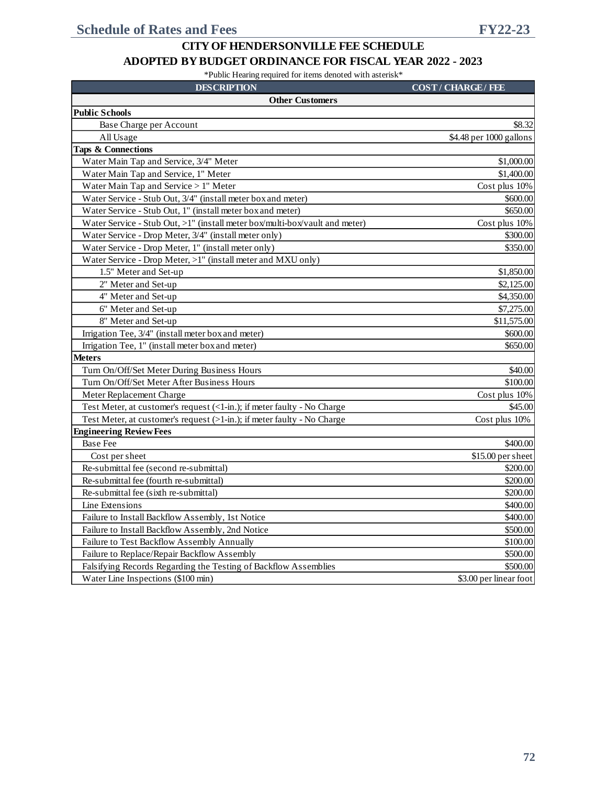#### **ADOPTED BY BUDGET ORDINANCE FOR FISCAL YEAR 2022 - 2023**

| <b>DESCRIPTION</b>                                                          | <b>COST/CHARGE/FEE</b>  |
|-----------------------------------------------------------------------------|-------------------------|
| <b>Other Customers</b>                                                      |                         |
| <b>Public Schools</b>                                                       |                         |
| Base Charge per Account                                                     | \$8.32                  |
| All Usage                                                                   | \$4.48 per 1000 gallons |
| <b>Taps &amp; Connections</b>                                               |                         |
| Water Main Tap and Service, 3/4" Meter                                      | \$1,000.00              |
| Water Main Tap and Service, 1" Meter                                        | \$1,400.00              |
| Water Main Tap and Service > 1" Meter                                       | Cost plus 10%           |
| Water Service - Stub Out, 3/4" (install meter box and meter)                | \$600.00                |
| Water Service - Stub Out, 1" (install meter box and meter)                  | \$650.00                |
| Water Service - Stub Out, >1" (install meter box/multi-box/vault and meter) | Cost plus 10%           |
| Water Service - Drop Meter, 3/4" (install meter only)                       | \$300.00                |
| Water Service - Drop Meter, 1" (install meter only)                         | \$350.00                |
| Water Service - Drop Meter, >1" (install meter and MXU only)                |                         |
| 1.5" Meter and Set-up                                                       | \$1,850.00              |
| 2" Meter and Set-up                                                         | \$2,125.00              |
| 4" Meter and Set-up                                                         | \$4,350.00              |
| 6" Meter and Set-up                                                         | \$7,275.00              |
| 8" Meter and Set-up                                                         | \$11,575.00             |
| Irrigation Tee, 3/4" (install meter box and meter)                          | \$600.00                |
| Irrigation Tee, 1" (install meter box and meter)                            | \$650.00                |
| <b>Meters</b>                                                               |                         |
| Turn On/Off/Set Meter During Business Hours                                 | \$40.00                 |
| Turn On/Off/Set Meter After Business Hours                                  | \$100.00                |
| Meter Replacement Charge                                                    | Cost plus 10%           |
| Test Meter, at customer's request (<1-in.); if meter faulty - No Charge     | \$45.00                 |
| Test Meter, at customer's request (>1-in.); if meter faulty - No Charge     | Cost plus 10%           |
| <b>Engineering Review Fees</b>                                              |                         |
| <b>Base Fee</b>                                                             | \$400.00                |
| Cost per sheet                                                              | \$15.00 per sheet       |
| Re-submittal fee (second re-submittal)                                      | \$200.00                |
| Re-submittal fee (fourth re-submittal)                                      | \$200.00                |
| Re-submittal fee (sixth re-submittal)                                       | \$200.00                |
| Line Extensions                                                             | \$400.00                |
| Failure to Install Backflow Assembly, 1st Notice                            | \$400.00                |
| Failure to Install Backflow Assembly, 2nd Notice                            | \$500.00                |
| Failure to Test Backflow Assembly Annually                                  | \$100.00                |
| Failure to Replace/Repair Backflow Assembly                                 | \$500.00                |
| Falsifying Records Regarding the Testing of Backflow Assemblies             | \$500.00                |
| Water Line Inspections (\$100 min)                                          | \$3.00 per linear foot  |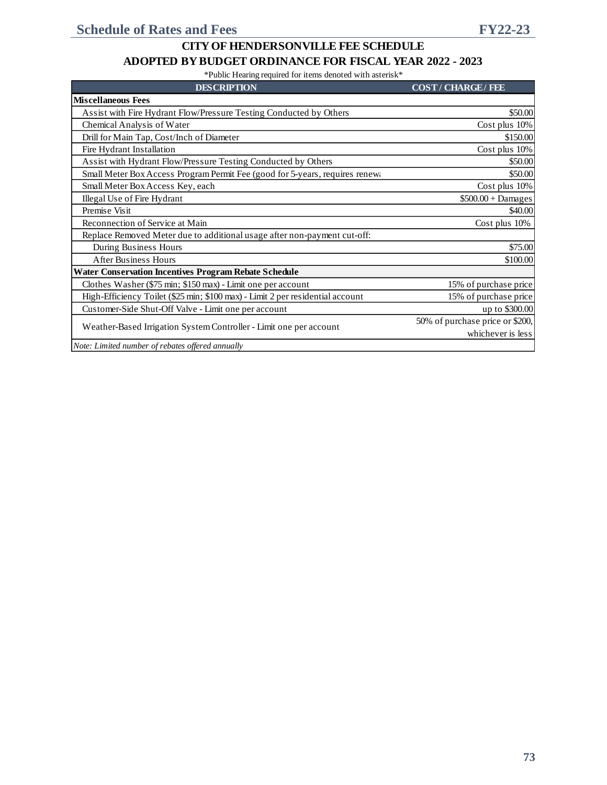#### **ADOPTED BY BUDGET ORDINANCE FOR FISCAL YEAR 2022 - 2023**

| <b>DESCRIPTION</b>                                                             | <b>COST/CHARGE/FEE</b>          |
|--------------------------------------------------------------------------------|---------------------------------|
| <b>Miscellaneous Fees</b>                                                      |                                 |
| Assist with Fire Hydrant Flow/Pressure Testing Conducted by Others             | \$50.00                         |
| Chemical Analysis of Water                                                     | Cost plus 10%                   |
| Drill for Main Tap, Cost/Inch of Diameter                                      | \$150.00                        |
| Fire Hydrant Installation                                                      | Cost plus 10%                   |
| Assist with Hydrant Flow/Pressure Testing Conducted by Others                  | \$50.00                         |
| Small Meter Box Access Program Permit Fee (good for 5-years, requires renewa   | \$50.00                         |
| Small Meter Box Access Key, each                                               | Cost plus 10%                   |
| Illegal Use of Fire Hydrant                                                    | $$500.00 + Damages$             |
| Premise Visit                                                                  | \$40.00                         |
| Reconnection of Service at Main                                                | Cost plus 10%                   |
| Replace Removed Meter due to additional usage after non-payment cut-off:       |                                 |
| During Business Hours                                                          | \$75.00                         |
| <b>After Business Hours</b>                                                    | \$100.00                        |
| Water Conservation Incentives Program Rebate Schedule                          |                                 |
| Clothes Washer (\$75 min; \$150 max) - Limit one per account                   | 15% of purchase price           |
| High-Efficiency Toilet (\$25 min; \$100 max) - Limit 2 per residential account | 15% of purchase price           |
| Customer-Side Shut-Off Valve - Limit one per account                           | up to \$300.00                  |
| Weather-Based Irrigation System Controller - Limit one per account             | 50% of purchase price or \$200, |
|                                                                                | whichever is less               |
| Note: Limited number of rebates offered annually                               |                                 |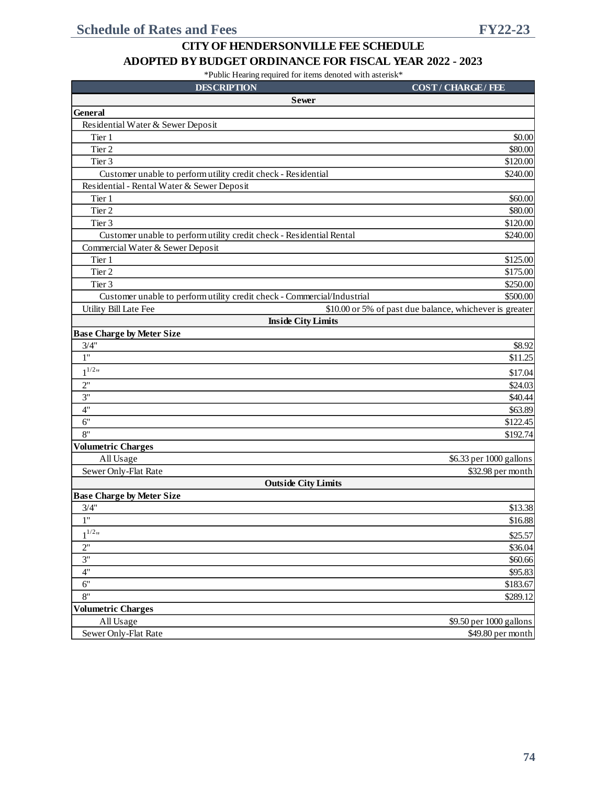#### **ADOPTED BY BUDGET ORDINANCE FOR FISCAL YEAR 2022 - 2023**

| <b>DESCRIPTION</b>                                                      | <b>COST/CHARGE/FEE</b>                                  |
|-------------------------------------------------------------------------|---------------------------------------------------------|
| <b>Sewer</b>                                                            |                                                         |
| <b>General</b>                                                          |                                                         |
| Residential Water & Sewer Deposit                                       |                                                         |
| Tier 1                                                                  | \$0.00                                                  |
| Tier 2                                                                  | \$80.00                                                 |
| Tier 3                                                                  | \$120.00                                                |
| Customer unable to perform utility credit check - Residential           | \$240.00                                                |
| Residential - Rental Water & Sewer Deposit                              |                                                         |
| Tier 1                                                                  | \$60.00                                                 |
| Tier 2                                                                  | \$80.00                                                 |
| Tier 3                                                                  | \$120.00                                                |
| Customer unable to perform utility credit check - Residential Rental    | \$240.00                                                |
| Commercial Water & Sewer Deposit                                        |                                                         |
| Tier 1                                                                  | \$125.00                                                |
| Tier 2                                                                  | \$175.00                                                |
| Tier 3                                                                  | \$250.00                                                |
| Customer unable to perform utility credit check - Commercial/Industrial | \$500.00                                                |
| Utility Bill Late Fee                                                   | \$10.00 or 5% of past due balance, whichever is greater |
| <b>Inside City Limits</b>                                               |                                                         |
| <b>Base Charge by Meter Size</b>                                        |                                                         |
| 3/4"                                                                    | \$8.92                                                  |
| $\overline{1}$ "                                                        | \$11.25                                                 |
| $1^{1/2}$                                                               | \$17.04                                                 |
| 2"                                                                      | \$24.03                                                 |
| 3"                                                                      | \$40.44                                                 |
| 4"                                                                      | \$63.89                                                 |
| 6"                                                                      | \$122.45                                                |
| 8"                                                                      | \$192.74                                                |
| <b>Volumetric Charges</b>                                               |                                                         |
| All Usage                                                               | \$6.33 per 1000 gallons                                 |
| Sewer Only-Flat Rate                                                    | \$32.98 per month                                       |
| <b>Outside City Limits</b>                                              |                                                         |
| <b>Base Charge by Meter Size</b>                                        |                                                         |
| 3/4"                                                                    | \$13.38                                                 |
| 1"                                                                      | \$16.88                                                 |
| $1^{1/2}$                                                               | \$25.57                                                 |
| 2"                                                                      | \$36.04                                                 |
| 3"                                                                      | \$60.66                                                 |
| 4"                                                                      | \$95.83                                                 |
| 6"                                                                      | \$183.67                                                |
| 8"                                                                      | \$289.12                                                |
| <b>Volumetric Charges</b>                                               |                                                         |
| All Usage                                                               | \$9.50 per 1000 gallons                                 |
| Sewer Only-Flat Rate                                                    | \$49.80 per month                                       |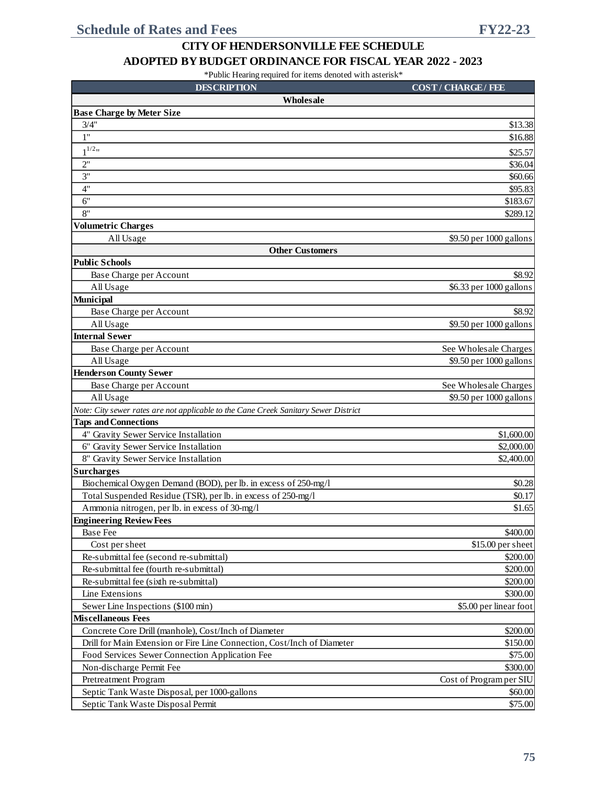#### **ADOPTED BY BUDGET ORDINANCE FOR FISCAL YEAR 2022 - 2023**

| <b>DESCRIPTION</b>                                                                  | <b>COST/CHARGE/FEE</b>  |
|-------------------------------------------------------------------------------------|-------------------------|
| Wholesale                                                                           |                         |
| <b>Base Charge by Meter Size</b>                                                    |                         |
| 3/4"                                                                                | \$13.38                 |
| 1"                                                                                  | \$16.88                 |
| $1^{1/2}$ "                                                                         | \$25.57                 |
| 2"                                                                                  | \$36.04                 |
| 3"                                                                                  | \$60.66                 |
| 4"                                                                                  | \$95.83                 |
| 6"                                                                                  | \$183.67                |
| 8"                                                                                  | \$289.12                |
| <b>Volumetric Charges</b>                                                           |                         |
| All Usage                                                                           | \$9.50 per 1000 gallons |
| <b>Other Customers</b>                                                              |                         |
| <b>Public Schools</b>                                                               |                         |
| Base Charge per Account                                                             | \$8.92                  |
| All Usage                                                                           | \$6.33 per 1000 gallons |
| Municipal                                                                           |                         |
| Base Charge per Account                                                             | \$8.92                  |
| All Usage                                                                           | \$9.50 per 1000 gallons |
| <b>Internal Sewer</b>                                                               |                         |
| Base Charge per Account                                                             | See Wholesale Charges   |
| All Usage                                                                           | \$9.50 per 1000 gallons |
| <b>Henderson County Sewer</b>                                                       |                         |
| Base Charge per Account                                                             | See Wholesale Charges   |
| All Usage                                                                           | \$9.50 per 1000 gallons |
| Note: City sewer rates are not applicable to the Cane Creek Sanitary Sewer District |                         |
| <b>Taps and Connections</b>                                                         |                         |
| 4" Gravity Sewer Service Installation                                               | \$1,600.00              |
| 6" Gravity Sewer Service Installation                                               | \$2,000.00              |
| 8" Gravity Sewer Service Installation                                               | \$2,400.00              |
| <b>Surcharges</b>                                                                   |                         |
| Biochemical Oxygen Demand (BOD), per lb. in excess of 250-mg/l                      | \$0.28                  |
| Total Suspended Residue (TSR), per lb. in excess of 250-mg/l                        | \$0.17                  |
| Ammonia nitrogen, per lb. in excess of 30-mg/l                                      | \$1.65                  |
| <b>Engineering Review Fees</b>                                                      |                         |
| <b>Base Fee</b>                                                                     | \$400.00                |
| Cost per sheet                                                                      | \$15.00 per sheet       |
| Re-submittal fee (second re-submittal)                                              | \$200.00                |
| Re-submittal fee (fourth re-submittal)                                              | \$200.00                |
| Re-submittal fee (sixth re-submittal)                                               | \$200.00                |
| Line Extensions                                                                     | \$300.00                |
| Sewer Line Inspections (\$100 min)                                                  | \$5.00 per linear foot  |
| <b>Miscellaneous Fees</b>                                                           |                         |
| Concrete Core Drill (manhole), Cost/Inch of Diameter                                | \$200.00                |
| Drill for Main Extension or Fire Line Connection, Cost/Inch of Diameter             | \$150.00                |
| Food Services Sewer Connection Application Fee                                      | \$75.00                 |
| Non-discharge Permit Fee                                                            | \$300.00                |
| Pretreatment Program                                                                | Cost of Program per SIU |
| Septic Tank Waste Disposal, per 1000-gallons                                        | \$60.00                 |
| Septic Tank Waste Disposal Permit                                                   | \$75.00                 |